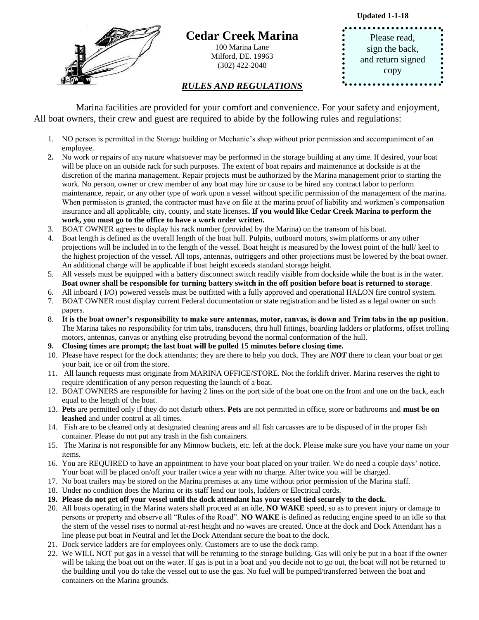**Updated 1-1-18**



## **Cedar Creek Marina**

100 Marina Lane Milford, DE. 19963 (302) 422-2040

## *RULES AND REGULATIONS*

Please read, sign the back, and return signed copy

 Marina facilities are provided for your comfort and convenience. For your safety and enjoyment, All boat owners, their crew and guest are required to abide by the following rules and regulations:

- 1. NO person is permitted in the Storage building or Mechanic's shop without prior permission and accompaniment of an employee.
- **2.** No work or repairs of any nature whatsoever may be performed in the storage building at any time. If desired, your boat will be place on an outside rack for such purposes. The extent of boat repairs and maintenance at dockside is at the discretion of the marina management. Repair projects must be authorized by the Marina management prior to starting the work. No person, owner or crew member of any boat may hire or cause to be hired any contract labor to perform maintenance, repair, or any other type of work upon a vessel without specific permission of the management of the marina. When permission is granted, the contractor must have on file at the marina proof of liability and workmen's compensation insurance and all applicable, city, county, and state licenses**. If you would like Cedar Creek Marina to perform the work, you must go to the office to have a work order written.**
- 3. BOAT OWNER agrees to display his rack number (provided by the Marina) on the transom of his boat.
- 4. Boat length is defined as the overall length of the boat hull. Pulpits, outboard motors, swim platforms or any other projections will be included in to the length of the vessel. Boat height is measured by the lowest point of the hull/ keel to the highest projection of the vessel. All tops, antennas, outriggers and other projections must be lowered by the boat owner. An additional charge will be applicable if boat height exceeds standard storage height.
- 5. All vessels must be equipped with a battery disconnect switch readily visible from dockside while the boat is in the water. **Boat owner shall be responsible for turning battery switch in the off position before boat is returned to storage**.
- 6. All inboard ( I/O) powered vessels must be outfitted with a fully approved and operational HALON fire control system.
- 7. BOAT OWNER must display current Federal documentation or state registration and be listed as a legal owner on such papers.
- 8. **It is the boat owner's responsibility to make sure antennas, motor, canvas, is down and Trim tabs in the up position**. The Marina takes no responsibility for trim tabs, transducers, thru hull fittings, boarding ladders or platforms, offset trolling motors, antennas, canvas or anything else protruding beyond the normal conformation of the hull.
- **9. Closing times are prompt; the last boat will be pulled 15 minutes before closing time.**
- 10. Please have respect for the dock attendants; they are there to help you dock. They are *NOT* there to clean your boat or get your bait, ice or oil from the store.
- 11. All launch requests must originate from MARINA OFFICE/STORE. Not the forklift driver. Marina reserves the right to require identification of any person requesting the launch of a boat.
- 12. BOAT OWNERS are responsible for having 2 lines on the port side of the boat one on the front and one on the back, each equal to the length of the boat.
- 13. **Pets** are permitted only if they do not disturb others. **Pets** are not permitted in office, store or bathrooms and **must be on leashed** and under control at all times.
- 14. Fish are to be cleaned only at designated cleaning areas and all fish carcasses are to be disposed of in the proper fish container. Please do not put any trash in the fish containers.
- 15. The Marina is not responsible for any Minnow buckets, etc. left at the dock. Please make sure you have your name on your items.
- 16. You are REQUIRED to have an appointment to have your boat placed on your trailer. We do need a couple days' notice. Your boat will be placed on/off your trailer twice a year with no charge. After twice you will be charged.
- 17. No boat trailers may be stored on the Marina premises at any time without prior permission of the Marina staff.
- 18. Under no condition does the Marina or its staff lend our tools, ladders or Electrical cords.
- **19. Please do not get off your vessel until the dock attendant has your vessel tied securely to the dock.**
- 20. All boats operating in the Marina waters shall proceed at an idle, **NO WAKE** speed, so as to prevent injury or damage to persons or property and observe all "Rules of the Road". **NO WAKE** is defined as reducing engine speed to an idle so that the stern of the vessel rises to normal at-rest height and no waves are created. Once at the dock and Dock Attendant has a line please put boat in Neutral and let the Dock Attendant secure the boat to the dock.
- 21. Dock service ladders are for employees only. Customers are to use the dock ramp.
- 22. We WILL NOT put gas in a vessel that will be returning to the storage building. Gas will only be put in a boat if the owner will be taking the boat out on the water. If gas is put in a boat and you decide not to go out, the boat will not be returned to the building until you do take the vessel out to use the gas. No fuel will be pumped/transferred between the boat and containers on the Marina grounds.